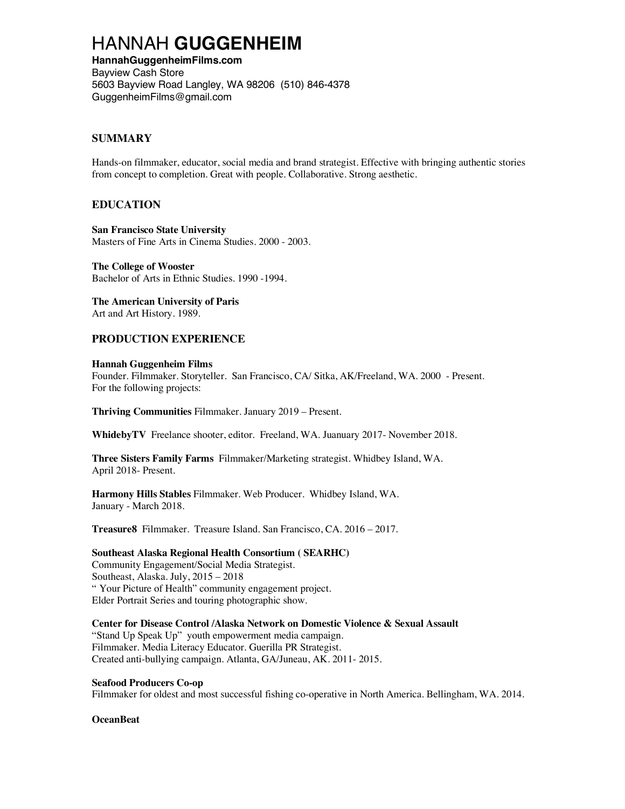# HANNAH **GUGGENHEIM**

**HannahGuggenheimFilms.com** Bayview Cash Store 5603 Bayview Road Langley, WA 98206 (510) 846-4378 GuggenheimFilms@gmail.com

# **SUMMARY**

Hands-on filmmaker, educator, social media and brand strategist. Effective with bringing authentic stories from concept to completion. Great with people. Collaborative. Strong aesthetic.

# **EDUCATION**

**San Francisco State University** Masters of Fine Arts in Cinema Studies. 2000 - 2003.

**The College of Wooster** Bachelor of Arts in Ethnic Studies. 1990 -1994.

## **The American University of Paris** Art and Art History. 1989.

# **PRODUCTION EXPERIENCE**

## **Hannah Guggenheim Films**

Founder. Filmmaker. Storyteller. San Francisco, CA/ Sitka, AK/Freeland, WA. 2000 - Present. For the following projects:

**Thriving Communities** Filmmaker. January 2019 – Present.

**WhidebyTV** Freelance shooter, editor. Freeland, WA. Juanuary 2017- November 2018.

**Three Sisters Family Farms** Filmmaker/Marketing strategist. Whidbey Island, WA. April 2018- Present.

**Harmony Hills Stables** Filmmaker. Web Producer. Whidbey Island, WA. January - March 2018.

**Treasure8** Filmmaker. Treasure Island. San Francisco, CA. 2016 – 2017.

#### **Southeast Alaska Regional Health Consortium ( SEARHC)**

Community Engagement/Social Media Strategist. Southeast, Alaska. July, 2015 – 2018 " Your Picture of Health" community engagement project. Elder Portrait Series and touring photographic show.

**Center for Disease Control /Alaska Network on Domestic Violence & Sexual Assault** "Stand Up Speak Up" youth empowerment media campaign. Filmmaker. Media Literacy Educator. Guerilla PR Strategist. Created anti-bullying campaign. Atlanta, GA/Juneau, AK. 2011- 2015.

#### **Seafood Producers Co-op**

Filmmaker for oldest and most successful fishing co-operative in North America. Bellingham, WA. 2014.

**OceanBeat**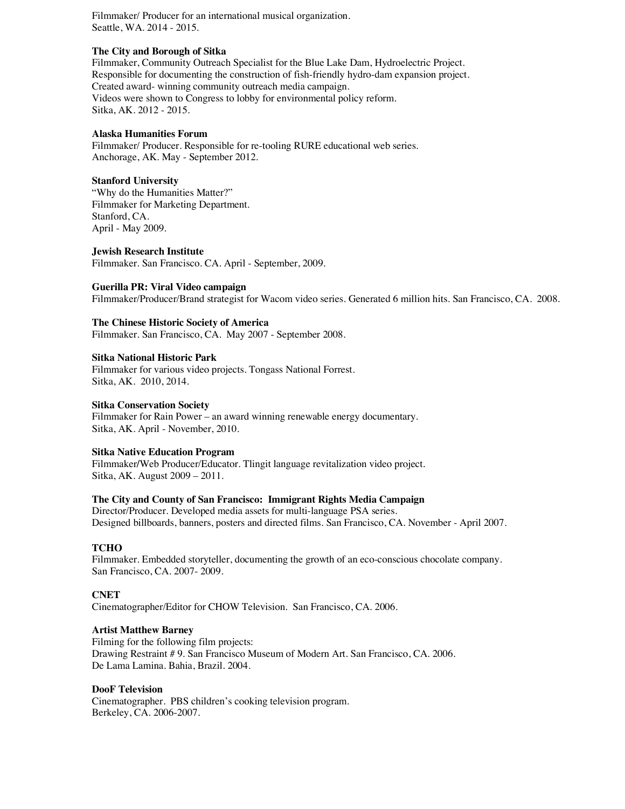Filmmaker/ Producer for an international musical organization. Seattle, WA. 2014 - 2015.

## **The City and Borough of Sitka**

Filmmaker, Community Outreach Specialist for the Blue Lake Dam, Hydroelectric Project. Responsible for documenting the construction of fish-friendly hydro-dam expansion project. Created award- winning community outreach media campaign. Videos were shown to Congress to lobby for environmental policy reform. Sitka, AK. 2012 - 2015.

#### **Alaska Humanities Forum**

Filmmaker/ Producer. Responsible for re-tooling RURE educational web series. Anchorage, AK. May - September 2012.

#### **Stanford University**

"Why do the Humanities Matter?" Filmmaker for Marketing Department. Stanford, CA. April - May 2009.

#### **Jewish Research Institute**

Filmmaker. San Francisco. CA. April - September, 2009.

#### **Guerilla PR: Viral Video campaign**

Filmmaker/Producer/Brand strategist for Wacom video series. Generated 6 million hits. San Francisco, CA. 2008.

## **The Chinese Historic Society of America**

Filmmaker. San Francisco, CA. May 2007 - September 2008.

#### **Sitka National Historic Park**

Filmmaker for various video projects. Tongass National Forrest. Sitka, AK. 2010, 2014.

#### **Sitka Conservation Society**

Filmmaker for Rain Power – an award winning renewable energy documentary. Sitka, AK. April - November, 2010.

#### **Sitka Native Education Program**

Filmmaker**/**Web Producer/Educator. Tlingit language revitalization video project. Sitka, AK. August 2009 – 2011.

#### **The City and County of San Francisco: Immigrant Rights Media Campaign**

Director/Producer. Developed media assets for multi-language PSA series. Designed billboards, banners, posters and directed films. San Francisco, CA. November - April 2007.

## **TCHO**

Filmmaker. Embedded storyteller, documenting the growth of an eco-conscious chocolate company. San Francisco, CA. 2007- 2009.

## **CNET**

Cinematographer/Editor for CHOW Television. San Francisco, CA. 2006.

#### **Artist Matthew Barney**

Filming for the following film projects: Drawing Restraint # 9. San Francisco Museum of Modern Art. San Francisco, CA. 2006. De Lama Lamina. Bahia, Brazil. 2004.

#### **DooF Television**

Cinematographer. PBS children's cooking television program. Berkeley, CA. 2006-2007.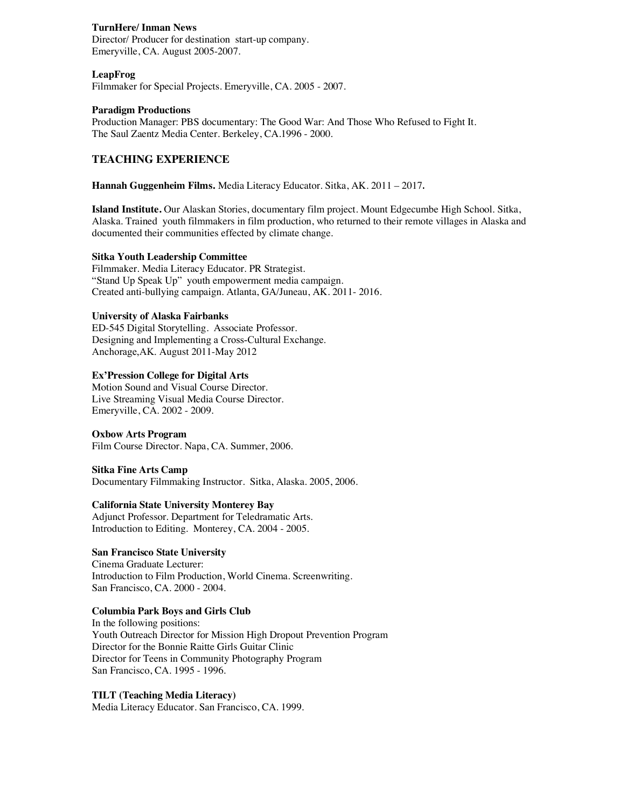## **TurnHere/ Inman News**

Director/ Producer for destination start-up company. Emeryville, CA. August 2005-2007.

#### **LeapFrog**

Filmmaker for Special Projects. Emeryville, CA. 2005 - 2007.

#### **Paradigm Productions**

Production Manager: PBS documentary: The Good War: And Those Who Refused to Fight It. The Saul Zaentz Media Center. Berkeley, CA.1996 - 2000.

# **TEACHING EXPERIENCE**

**Hannah Guggenheim Films.** Media Literacy Educator. Sitka, AK. 2011 – 2017.

**Island Institute.** Our Alaskan Stories, documentary film project. Mount Edgecumbe High School. Sitka, Alaska. Trained youth filmmakers in film production, who returned to their remote villages in Alaska and documented their communities effected by climate change.

#### **Sitka Youth Leadership Committee**

Filmmaker. Media Literacy Educator. PR Strategist. "Stand Up Speak Up" youth empowerment media campaign. Created anti-bullying campaign. Atlanta, GA/Juneau, AK. 2011- 2016.

#### **University of Alaska Fairbanks**

ED-545 Digital Storytelling. Associate Professor. Designing and Implementing a Cross-Cultural Exchange. Anchorage,AK. August 2011-May 2012

## **Ex'Pression College for Digital Arts**

Motion Sound and Visual Course Director. Live Streaming Visual Media Course Director. Emeryville, CA. 2002 - 2009.

#### **Oxbow Arts Program**

Film Course Director. Napa, CA. Summer, 2006.

#### **Sitka Fine Arts Camp**

Documentary Filmmaking Instructor. Sitka, Alaska. 2005, 2006.

## **California State University Monterey Bay**

Adjunct Professor. Department for Teledramatic Arts. Introduction to Editing. Monterey, CA. 2004 - 2005.

#### **San Francisco State University**

Cinema Graduate Lecturer: Introduction to Film Production, World Cinema. Screenwriting. San Francisco, CA. 2000 - 2004.

#### **Columbia Park Boys and Girls Club**

In the following positions: Youth Outreach Director for Mission High Dropout Prevention Program Director for the Bonnie Raitte Girls Guitar Clinic Director for Teens in Community Photography Program San Francisco, CA. 1995 - 1996.

## **TILT (Teaching Media Literacy)**

Media Literacy Educator. San Francisco, CA. 1999.